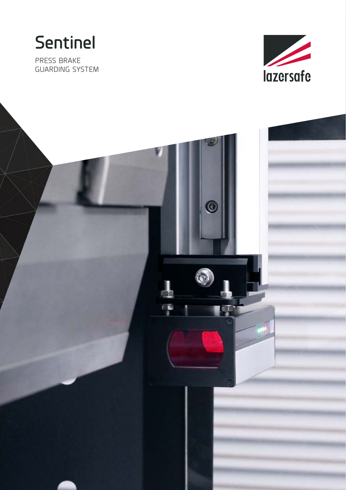**Sentinel**

PRESS BRAKE GUARDING SYSTEM



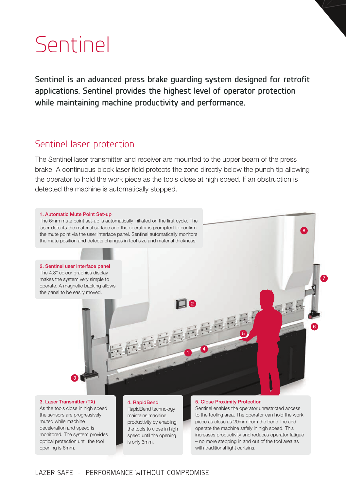# Sentinel

**Sentinel is an advanced press brake guarding system designed for retrofit applications. Sentinel provides the highest level of operator protection while maintaining machine productivity and performance.**

## Sentinel laser protection

The Sentinel laser transmitter and receiver are mounted to the upper beam of the press brake. A continuous block laser field protects the zone directly below the punch tip allowing the operator to hold the work piece as the tools close at high speed. If an obstruction is detected the machine is automatically stopped.



3. Laser Transmitter (TX) As the tools close in high speed

the sensors are progressively muted while machine deceleration and speed is monitored. The system provides optical protection until the tool opening is 6mm.

#### 4. RapidBend

RapidBend technology maintains machine productivity by enabling the tools to close in high speed until the opening is only 6mm.

#### 5. Close Proximity Protection

Sentinel enables the operator unrestricted access to the tooling area. The operator can hold the work piece as close as 20mm from the bend line and operate the machine safely in high speed. This increases productivity and reduces operator fatigue – no more stepping in and out of the tool area as with traditional light curtains.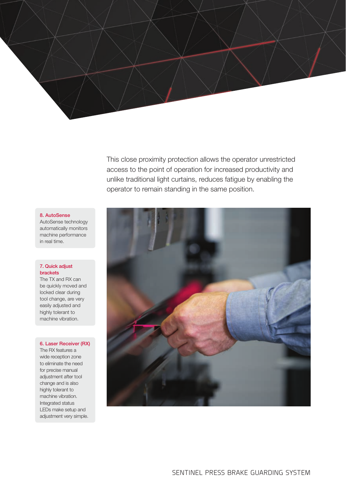

This close proximity protection allows the operator unrestricted access to the point of operation for increased productivity and unlike traditional light curtains, reduces fatigue by enabling the operator to remain standing in the same position.

#### 8. AutoSense

AutoSense technology automatically monitors machine performance in real time.

#### 7. Quick adjust brackets

The TX and RX can be quickly moved and locked clear during tool change, are very easily adjusted and highly tolerant to machine vibration.

#### 6. Laser Receiver (RX)

The RX features a wide reception zone to eliminate the need for precise manual adjustment after tool change and is also highly tolerant to machine vibration. Integrated status LEDs make setup and adjustment very simple.

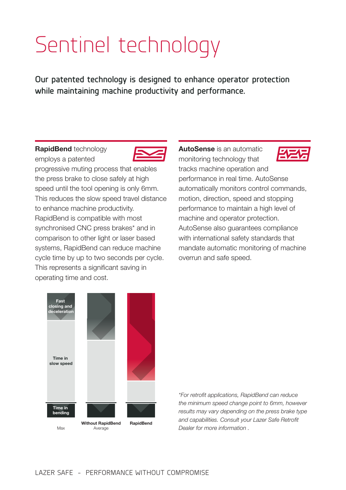# Sentinel technology

**Our patented technology is designed to enhance operator protection while maintaining machine productivity and performance.**

RapidBend technology employs a patented



progressive muting process that enables the press brake to close safely at high speed until the tool opening is only 6mm. This reduces the slow speed travel distance to enhance machine productivity. RapidBend is compatible with most synchronised CNC press brakes\* and in comparison to other light or laser based systems, RapidBend can reduce machine cycle time by up to two seconds per cycle. This represents a significant saving in operating time and cost.

AutoSense is an automatic monitoring technology that tracks machine operation and performance in real time. AutoSense automatically monitors control commands, motion, direction, speed and stopping performance to maintain a high level of machine and operator protection. AutoSense also guarantees compliance with international safety standards that mandate automatic monitoring of machine overrun and safe speed.



*\*For retrofit applications, RapidBend can reduce the minimum speed change point to 6mm, however results may vary depending on the press brake type and capabilities. Consult your Lazer Safe Retrofit Dealer for more information .*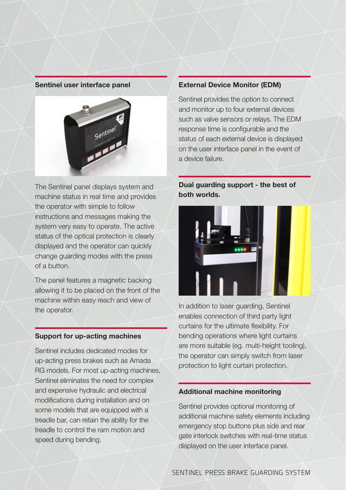#### Sentinel user interface panel



The Sentinel panel displays system and machine status in real time and provides the operator with simple to follow instructions and messages making the system very easy to operate. The active status of the optical protection is clearly displayed and the operator can quickly change guarding modes with the press of a button.

The panel features a magnetic backing allowing it to be placed on the front of the machine within easy reach and view of the operator.

### Support for up-acting machines

Sentinel includes dedicated modes for up-acting press brakes such as Amada RG models. For most up-acting machines, Sentinel eliminates the need for complex and expensive hydraulic and electrical modifications during installation and on some models that are equipped with a treadle bar, can retain the ability for the treadle to control the ram motion and speed during bending.

#### External Device Monitor (EDM)

Sentinel provides the option to connect and monitor up to four external devices such as valve sensors or relays. The EDM response time is configurable and the status of each external device is displayed on the user interface panel in the event of a device failure.

## Dual guarding support - the best of both worlds.



In addition to laser guarding, Sentinel enables connection of third party light curtains for the ultimate flexibility. For bending operations where light curtains are more suitable (eg. multi-height tooling), the operator can simply switch from laser protection to light curtain protection.

### Additional machine monitoring

Sentinel provides optional monitoring of additional machine safety elements including emergency stop buttons plus side and rear gate interlock switches with real-time status displayed on the user interface panel.

SENTINEL PRESS BRAKE GUARDING SYSTEM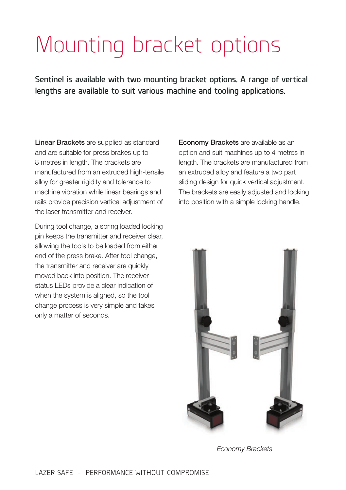# Mounting bracket options

**Sentinel is available with two mounting bracket options. A range of vertical lengths are available to suit various machine and tooling applications.**

Linear Brackets are supplied as standard and are suitable for press brakes up to 8 metres in length. The brackets are manufactured from an extruded high-tensile alloy for greater rigidity and tolerance to machine vibration while linear bearings and rails provide precision vertical adjustment of the laser transmitter and receiver.

During tool change, a spring loaded locking pin keeps the transmitter and receiver clear, allowing the tools to be loaded from either end of the press brake. After tool change, the transmitter and receiver are quickly moved back into position. The receiver status LEDs provide a clear indication of when the system is aligned, so the tool change process is very simple and takes only a matter of seconds.

Economy Brackets are available as an option and suit machines up to 4 metres in length. The brackets are manufactured from an extruded alloy and feature a two part sliding design for quick vertical adjustment. The brackets are easily adjusted and locking into position with a simple locking handle.



*Economy Brackets*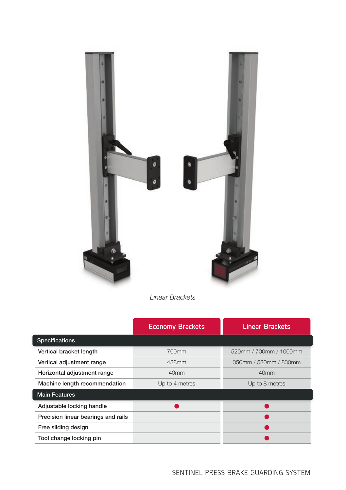

*Linear Brackets*

|                                     | <b>Economy Brackets</b> | <b>Linear Brackets</b> |
|-------------------------------------|-------------------------|------------------------|
| <b>Specifications</b>               |                         |                        |
| Vertical bracket length             | 700mm                   | 520mm / 700mm / 1000mm |
| Vertical adjustment range           | 488mm                   | 350mm / 530mm / 830mm  |
| Horizontal adjustment range         | 40 <sub>mm</sub>        | 40 <sub>mm</sub>       |
| Machine length recommendation       | Up to 4 metres          | Up to 8 metres         |
| <b>Main Features</b>                |                         |                        |
| Adjustable locking handle           |                         |                        |
| Precision linear bearings and rails |                         |                        |
| Free sliding design                 |                         |                        |
| Tool change locking pin             |                         |                        |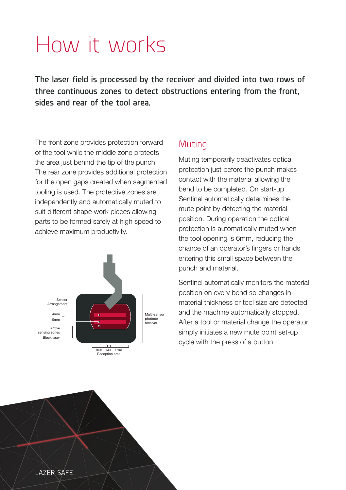# How it works

**The laser field is processed by the receiver and divided into two rows of three continuous zones to detect obstructions entering from the front, sides and rear of the tool area.** 

The front zone provides protection forward of the tool while the middle zone protects the area just behind the tip of the punch. The rear zone provides additional protection for the open gaps created when segmented tooling is used. The protective zones are independently and automatically muted to suit different shape work pieces allowing parts to be formed safely at high speed to achieve maximum productivity.



# Muting

Muting temporarily deactivates optical protection just before the punch makes contact with the material allowing the bend to be completed. On start-up Sentinel automatically determines the mute point by detecting the material position. During operation the optical protection is automatically muted when the tool opening is 6mm, reducing the chance of an operator's fingers or hands entering this small space between the punch and material.

Sentinel automatically monitors the material position on every bend so changes in material thickness or tool size are detected and the machine automatically stopped. After a tool or material change the operator simply initiates a new mute point set-up cycle with the press of a button.

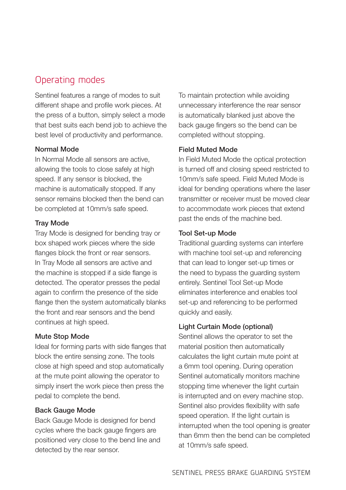# Operating modes

Sentinel features a range of modes to suit different shape and profile work pieces. At the press of a button, simply select a mode that best suits each bend job to achieve the best level of productivity and performance.

## Normal Mode

In Normal Mode all sensors are active, allowing the tools to close safely at high speed. If any sensor is blocked, the machine is automatically stopped. If any sensor remains blocked then the bend can be completed at 10mm/s safe speed.

### Tray Mode

Tray Mode is designed for bending tray or box shaped work pieces where the side flanges block the front or rear sensors. In Tray Mode all sensors are active and the machine is stopped if a side flange is detected. The operator presses the pedal again to confirm the presence of the side flange then the system automatically blanks the front and rear sensors and the bend continues at high speed.

### Mute Stop Mode

Ideal for forming parts with side flanges that block the entire sensing zone. The tools close at high speed and stop automatically at the mute point allowing the operator to simply insert the work piece then press the pedal to complete the bend.

### Back Gauge Mode

Back Gauge Mode is designed for bend cycles where the back gauge fingers are positioned very close to the bend line and detected by the rear sensor.

To maintain protection while avoiding unnecessary interference the rear sensor is automatically blanked just above the back gauge fingers so the bend can be completed without stopping.

## Field Muted Mode

In Field Muted Mode the optical protection is turned off and closing speed restricted to 10mm/s safe speed. Field Muted Mode is ideal for bending operations where the laser transmitter or receiver must be moved clear to accommodate work pieces that extend past the ends of the machine bed.

### Tool Set-up Mode

Traditional guarding systems can interfere with machine tool set-up and referencing that can lead to longer set-up times or the need to bypass the guarding system entirely. Sentinel Tool Set-up Mode eliminates interference and enables tool set-up and referencing to be performed quickly and easily.

## Light Curtain Mode (optional)

Sentinel allows the operator to set the material position then automatically calculates the light curtain mute point at a 6mm tool opening. During operation Sentinel automatically monitors machine stopping time whenever the light curtain is interrupted and on every machine stop. Sentinel also provides flexibility with safe speed operation. If the light curtain is interrupted when the tool opening is greater than 6mm then the bend can be completed at 10mm/s safe speed.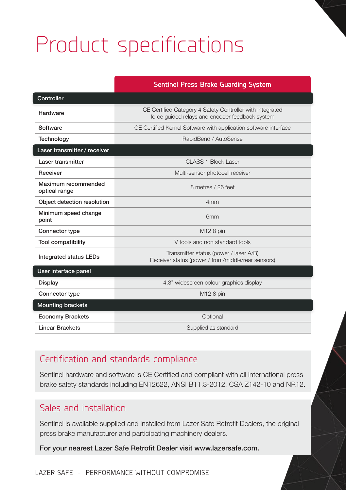# Product specifications

## **Sentinel Press Brake Guarding System**

| Controller                           |                                                                                                              |  |
|--------------------------------------|--------------------------------------------------------------------------------------------------------------|--|
| Hardware                             | CE Certified Category 4 Safety Controller with integrated<br>force quided relays and encoder feedback system |  |
| Software                             | CE Certified Kernel Software with application software interface                                             |  |
| Technology                           | RapidBend / AutoSense                                                                                        |  |
| Laser transmitter / receiver         |                                                                                                              |  |
| Laser transmitter                    | CLASS 1 Block Laser                                                                                          |  |
| Receiver                             | Multi-sensor photocell receiver                                                                              |  |
| Maximum recommended<br>optical range | 8 metres / 26 feet                                                                                           |  |
| Object detection resolution          | 4 <sub>mm</sub>                                                                                              |  |
| Minimum speed change<br>point        | 6 <sub>mm</sub>                                                                                              |  |
| Connector type                       | M12 8 pin                                                                                                    |  |
| <b>Tool compatibility</b>            | V tools and non standard tools                                                                               |  |
| <b>Integrated status LEDs</b>        | Transmitter status (power / laser A/B)<br>Receiver status (power / front/middle/rear sensors)                |  |
| User interface panel                 |                                                                                                              |  |
| Display                              | 4.3" widescreen colour graphics display                                                                      |  |
| Connector type                       | M12 8 pin                                                                                                    |  |
| <b>Mounting brackets</b>             |                                                                                                              |  |
| <b>Economy Brackets</b>              | Optional                                                                                                     |  |
| <b>Linear Brackets</b>               | Supplied as standard                                                                                         |  |

# Certification and standards compliance

Sentinel hardware and software is CE Certified and compliant with all international press brake safety standards including EN12622, ANSI B11.3-2012, CSA Z142-10 and NR12.

## Sales and installation

Sentinel is available supplied and installed from Lazer Safe Retrofit Dealers, the original press brake manufacturer and participating machinery dealers.

For your nearest Lazer Safe Retrofit Dealer visit www.lazersafe.com.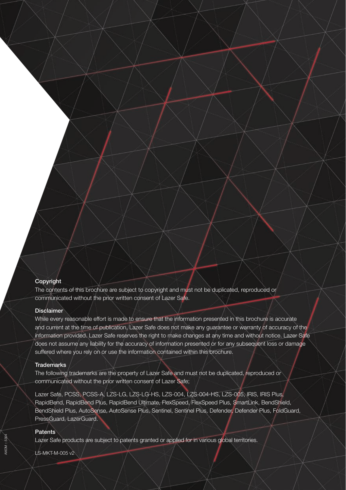#### **Copyright**

The contents of this brochure are subject to copyright and must not be duplicated, reproduced or communicated without the prior written consent of Lazer Safe.

#### **Disclaimer**

While every reasonable effort is made to ensure that the information presented in this brochure is accurate and current at the time of publication, Lazer Safe does not make any guarantee or warranty of accuracy of the information provided. Lazer Safe reserves the right to make changes at any time and without notice. Lazer Safe does not assume any liability for the accuracy of information presented or for any subsequent loss or damage suffered where you rely on or use the information contained within this brochure.

#### **Trademarks**

The following trademarks are the property of Lazer Safe and must not be duplicated, reproduced or communicated without the prior written consent of Lazer Safe;

Lazer Safe, PCSS, PCSS-A, LZS-LG, LZS-LG-HS, LZS-004, LZS-004-HS, LZS-005, IRIS, IRIS Plus, RapidBend, RapidBend Plus, RapidBend Ultimate, FlexSpeed, FlexSpeed Plus, SmartLink, BendShield, BendShield Plus, AutoSense, AutoSense Plus, Sentinel, Sentinel Plus, Defender, Defender Plus, FoldGuard, PressGuard, LazerGuard.

#### **Patents**

Lazer Safe products are subject to patents granted or applied for in various global territories.

LS-MKT-M-005 v2